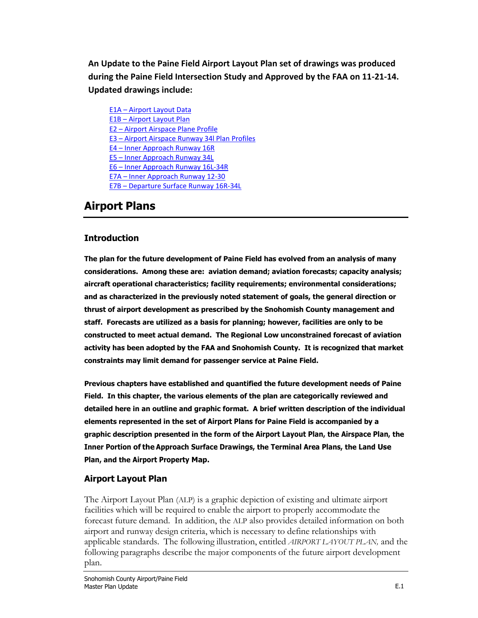**An Update to the Paine Field Airport Layout Plan set of drawings was produced during the Paine Field Intersection Study and Approved by the FAA on 11-21-14. Updated drawings include:**

E1A – Airport [Layout Data](http://painefield.com/DocumentCenter/View/638) E1B – [Airport Layout Plan](http://painefield.com/DocumentCenter/View/466) E2 – [Airport Airspace Plane Profile](http://painefield.com/DocumentCenter/View/468) E3 – [Airport Airspace Runway 34l Plan Profiles](http://painefield.com/DocumentCenter/View/469) E4 – [Inner Approach Runway 16R](http://painefield.com/DocumentCenter/View/470) E5 – [Inner Approach Runway 34L](http://painefield.com/DocumentCenter/View/471) E6 – [Inner Approach Runway 16L-34R](http://painefield.com/DocumentCenter/View/472) E7A – [Inner Approach Runway 12-30](http://painefield.com/DocumentCenter/View/473) E7B – [Departure Surface Runway 16R-34L](http://painefield.com/DocumentCenter/View/639)

# **Airport Plans**

# **Introduction**

**The plan for the future development of Paine Field has evolved from an analysis of many considerations. Among these are: aviation demand; aviation forecasts; capacity analysis; aircraft operational characteristics; facility requirements; environmental considerations; and as characterized in the previously noted statement of goals, the general direction or thrust of airport development as prescribed by the Snohomish County management and staff. Forecasts are utilized as a basis for planning; however, facilities are only to be constructed to meet actual demand. The Regional Low unconstrained forecast of aviation activity has been adopted by the FAA and Snohomish County. It is recognized that market constraints may limit demand for passenger service at Paine Field.**

**Previous chapters have established and quantified the future development needs of Paine Field. In this chapter, the various elements of the plan are categorically reviewed and detailed here in an outline and graphic format. A brief written description of the individual elements represented in the set of Airport Plans for Paine Field is accompanied by a graphic description presented in the form of the Airport Layout Plan, the Airspace Plan, the Inner Portion of the Approach Surface Drawings, the Terminal Area Plans, the Land Use Plan, and the Airport Property Map.**

# **Airport Layout Plan**

The Airport Layout Plan (ALP) is a graphic depiction of existing and ultimate airport facilities which will be required to enable the airport to properly accommodate the forecast future demand. In addition, the ALP also provides detailed information on both airport and runway design criteria, which is necessary to define relationships with applicable standards. The following illustration, entitled *AIRPORT LAYOUT PLAN,* and the following paragraphs describe the major components of the future airport development plan.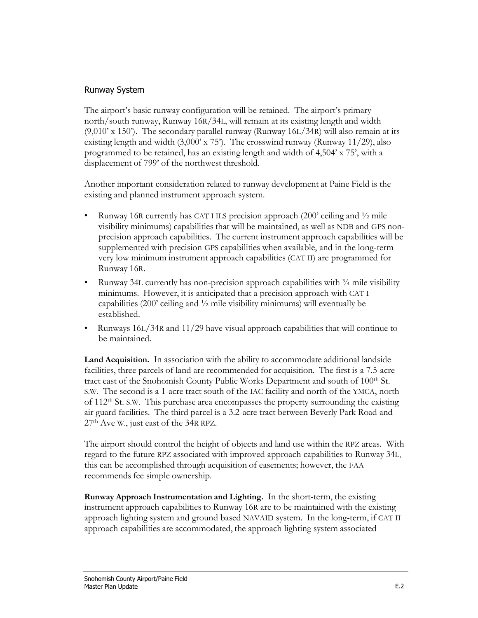# Runway System

The airport's basic runway configuration will be retained. The airport's primary north/south runway, Runway 16R/34L, will remain at its existing length and width  $(9,010)$ <sup>o</sup> x 150<sup>o</sup>). The secondary parallel runway (Runway 16L/34R) will also remain at its existing length and width  $(3,000 \times 75)$ . The crosswind runway (Runway 11/29), also programmed to be retained, has an existing length and width of 4,504' x 75', with a displacement of 799' of the northwest threshold.

Another important consideration related to runway development at Paine Field is the existing and planned instrument approach system.

- Runway 16R currently has CAT I ILS precision approach  $(200'$  ceiling and  $\frac{1}{2}$  mile visibility minimums) capabilities that will be maintained, as well as NDB and GPS nonprecision approach capabilities. The current instrument approach capabilities will be supplemented with precision GPS capabilities when available, and in the long-term very low minimum instrument approach capabilities (CAT II) are programmed for Runway 16R.
- Runway 34L currently has non-precision approach capabilities with  $\frac{3}{4}$  mile visibility minimums. However, it is anticipated that a precision approach with CAT I capabilities (200' ceiling and  $\frac{1}{2}$  mile visibility minimums) will eventually be established.
- Runways 16L/34R and 11/29 have visual approach capabilities that will continue to be maintained.

**Land Acquisition.** In association with the ability to accommodate additional landside facilities, three parcels of land are recommended for acquisition. The first is a 7.5-acre tract east of the Snohomish County Public Works Department and south of 100<sup>th</sup> St. S.W. The second is a 1-acre tract south of the IAC facility and north of the YMCA, north of 112th St. S.W. This purchase area encompasses the property surrounding the existing air guard facilities. The third parcel is a 3.2-acre tract between Beverly Park Road and 27th Ave W., just east of the 34R RPZ.

The airport should control the height of objects and land use within the RPZ areas. With regard to the future RPZ associated with improved approach capabilities to Runway 34L, this can be accomplished through acquisition of easements; however, the FAA recommends fee simple ownership.

**Runway Approach Instrumentation and Lighting.** In the short-term, the existing instrument approach capabilities to Runway 16R are to be maintained with the existing approach lighting system and ground based NAVAID system. In the long-term, if CAT II approach capabilities are accommodated, the approach lighting system associated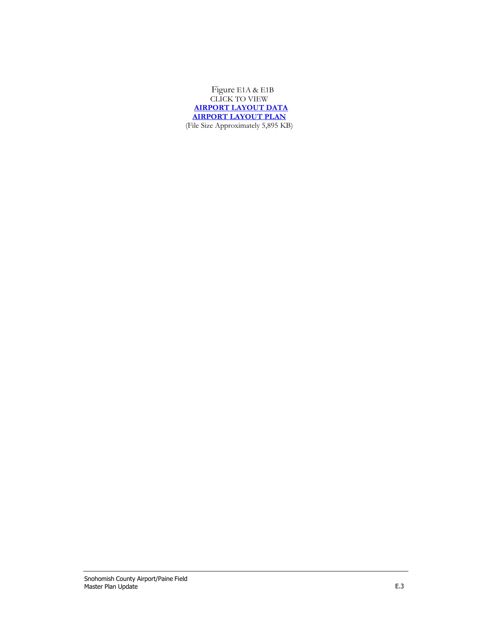Figure E1A & E1B [CLICK](http://www.painefield.com/DocumentCenter/View/466) TO VIEW **[AIRPORT LAYOUT DATA](http://painefield.com/DocumentCenter/View/638) [AIRPORT](http://www.painefield.com/DocumentCenter/View/466) LAYOUT PLAN** (File Size Approximately 5,895 KB)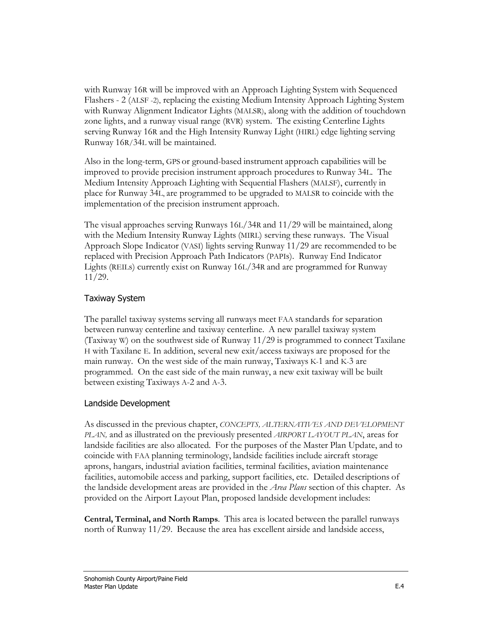with Runway 16R will be improved with an Approach Lighting System with Sequenced Flashers - 2 (ALSF -2), replacing the existing Medium Intensity Approach Lighting System with Runway Alignment Indicator Lights (MALSR), along with the addition of touchdown zone lights, and a runway visual range (RVR) system. The existing Centerline Lights serving Runway 16R and the High Intensity Runway Light (HIRL) edge lighting serving Runway 16R/34L will be maintained.

Also in the long-term, GPS or ground-based instrument approach capabilities will be improved to provide precision instrument approach procedures to Runway 34L. The Medium Intensity Approach Lighting with Sequential Flashers (MALSF), currently in place for Runway 34L, are programmed to be upgraded to MALSR to coincide with the implementation of the precision instrument approach.

The visual approaches serving Runways 16L/34R and 11/29 will be maintained, along with the Medium Intensity Runway Lights (MIRL) serving these runways. The Visual Approach Slope Indicator (VASI) lights serving Runway 11/29 are recommended to be replaced with Precision Approach Path Indicators (PAPIs). Runway End Indicator Lights (REILs) currently exist on Runway 16L/34R and are programmed for Runway 11/29.

# Taxiway System

The parallel taxiway systems serving all runways meet FAA standards for separation between runway centerline and taxiway centerline. A new parallel taxiway system (Taxiway W) on the southwest side of Runway 11/29 is programmed to connect Taxilane H with Taxilane E. In addition, several new exit/access taxiways are proposed for the main runway. On the west side of the main runway, Taxiways K-1 and K-3 are programmed. On the east side of the main runway, a new exit taxiway will be built between existing Taxiways A-2 and A-3.

# Landside Development

As discussed in the previous chapter, *CONCEPTS, ALTERNATIVES AND DEVELOPMENT PLAN,* and as illustrated on the previously presented *AIRPORT LAYOUT PLAN*, areas for landside facilities are also allocated. For the purposes of the Master Plan Update, and to coincide with FAA planning terminology, landside facilities include aircraft storage aprons, hangars, industrial aviation facilities, terminal facilities, aviation maintenance facilities, automobile access and parking, support facilities, etc. Detailed descriptions of the landside development areas are provided in the *Area Plans* section of this chapter. As provided on the Airport Layout Plan, proposed landside development includes:

**Central, Terminal, and North Ramps**. This area is located between the parallel runways north of Runway 11/29. Because the area has excellent airside and landside access,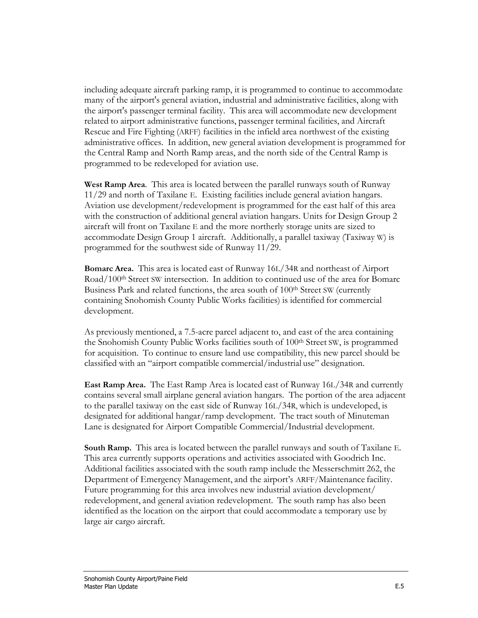including adequate aircraft parking ramp, it is programmed to continue to accommodate many of the airport's general aviation, industrial and administrative facilities, along with the airport's passenger terminal facility. This area will accommodate new development related to airport administrative functions, passenger terminal facilities, and Aircraft Rescue and Fire Fighting (ARFF) facilities in the infield area northwest of the existing administrative offices. In addition, new general aviation development is programmed for the Central Ramp and North Ramp areas, and the north side of the Central Ramp is programmed to be redeveloped for aviation use.

**West Ramp Area**. This area is located between the parallel runways south of Runway 11/29 and north of Taxilane E. Existing facilities include general aviation hangars. Aviation use development/redevelopment is programmed for the east half of this area with the construction of additional general aviation hangars. Units for Design Group 2 aircraft will front on Taxilane E and the more northerly storage units are sized to accommodate Design Group 1 aircraft. Additionally, a parallel taxiway (Taxiway W) is programmed for the southwest side of Runway 11/29.

**Bomarc Area.** This area is located east of Runway 16L/34R and northeast of Airport Road/100th Street SW intersection. In addition to continued use of the area for Bomarc Business Park and related functions, the area south of 100<sup>th</sup> Street SW (currently containing Snohomish County Public Works facilities) is identified for commercial development.

As previously mentioned, a 7.5-acre parcel adjacent to, and east of the area containing the Snohomish County Public Works facilities south of 100th Street SW, is programmed for acquisition. To continue to ensure land use compatibility, this new parcel should be classified with an "airport compatible commercial/industrial use" designation.

**East Ramp Area.** The East Ramp Area is located east of Runway 16L/34R and currently contains several small airplane general aviation hangars. The portion of the area adjacent to the parallel taxiway on the east side of Runway 16L/34R, which is undeveloped, is designated for additional hangar/ramp development. The tract south of Minuteman Lane is designated for Airport Compatible Commercial/Industrial development.

**South Ramp.** This area is located between the parallel runways and south of Taxilane E. This area currently supports operations and activities associated with Goodrich Inc. Additional facilities associated with the south ramp include the Messerschmitt 262, the Department of Emergency Management, and the airport's ARFF/Maintenance facility. Future programming for this area involves new industrial aviation development/ redevelopment, and general aviation redevelopment. The south ramp has also been identified as the location on the airport that could accommodate a temporary use by large air cargo aircraft.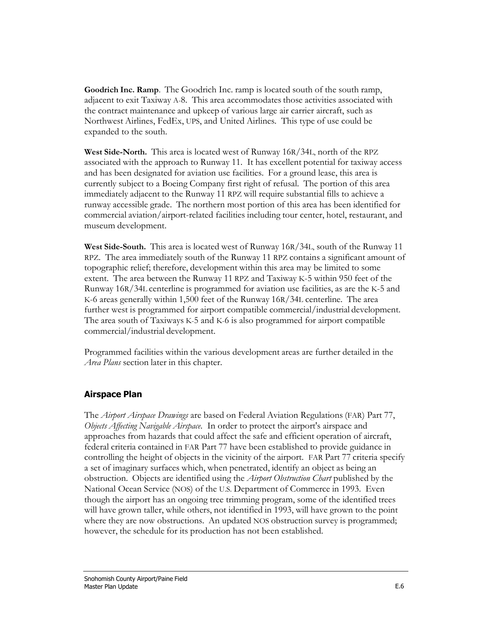**Goodrich Inc. Ramp**. The Goodrich Inc. ramp is located south of the south ramp, adjacent to exit Taxiway A-8. This area accommodates those activities associated with the contract maintenance and upkeep of various large air carrier aircraft, such as Northwest Airlines, FedEx, UPS, and United Airlines. This type of use could be expanded to the south.

**West Side-North.** This area is located west of Runway 16R/34L, north of the RPZ associated with the approach to Runway 11. It has excellent potential for taxiway access and has been designated for aviation use facilities. For a ground lease, this area is currently subject to a Boeing Company first right of refusal. The portion of this area immediately adjacent to the Runway 11 RPZ will require substantial fills to achieve a runway accessible grade. The northern most portion of this area has been identified for commercial aviation/airport-related facilities including tour center, hotel, restaurant, and museum development.

**West Side-South.** This area is located west of Runway 16R/34L, south of the Runway 11 RPZ. The area immediately south of the Runway 11 RPZ contains a significant amount of topographic relief; therefore, development within this area may be limited to some extent. The area between the Runway 11 RPZ and Taxiway K-5 within 950 feet of the Runway 16R/34L centerline is programmed for aviation use facilities, as are the K-5 and K-6 areas generally within 1,500 feet of the Runway 16R/34L centerline. The area further west is programmed for airport compatible commercial/industrial development. The area south of Taxiways K-5 and K-6 is also programmed for airport compatible commercial/industrial development.

Programmed facilities within the various development areas are further detailed in the *Area Plans* section later in this chapter.

# **Airspace Plan**

The *Airport Airspace Drawings* are based on Federal Aviation Regulations (FAR) Part 77, *Objects Affecting Navigable Airspace*. In order to protect the airport's airspace and approaches from hazards that could affect the safe and efficient operation of aircraft, federal criteria contained in FAR Part 77 have been established to provide guidance in controlling the height of objects in the vicinity of the airport. FAR Part 77 criteria specify a set of imaginary surfaces which, when penetrated, identify an object as being an obstruction. Objects are identified using the *Airport Obstruction Chart* published by the National Ocean Service (NOS) of the U.S. Department of Commerce in 1993. Even though the airport has an ongoing tree trimming program, some of the identified trees will have grown taller, while others, not identified in 1993, will have grown to the point where they are now obstructions. An updated NOS obstruction survey is programmed; however, the schedule for its production has not been established.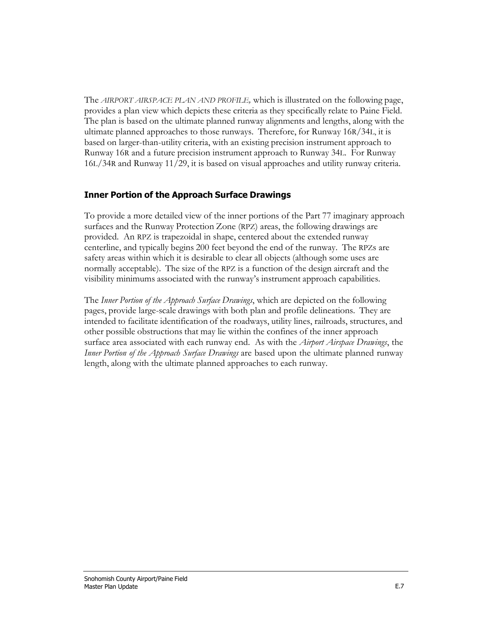The *AIRPORT AIRSPACE PLAN AND PROFILE,* which is illustrated on the following page, provides a plan view which depicts these criteria as they specifically relate to Paine Field. The plan is based on the ultimate planned runway alignments and lengths, along with the ultimate planned approaches to those runways. Therefore, for Runway 16R/34L, it is based on larger-than-utility criteria, with an existing precision instrument approach to Runway 16R and a future precision instrument approach to Runway 34L. For Runway 16L/34R and Runway 11/29, it is based on visual approaches and utility runway criteria.

# **Inner Portion of the Approach Surface Drawings**

To provide a more detailed view of the inner portions of the Part 77 imaginary approach surfaces and the Runway Protection Zone (RPZ) areas, the following drawings are provided. An RPZ is trapezoidal in shape, centered about the extended runway centerline, and typically begins 200 feet beyond the end of the runway. The RPZs are safety areas within which it is desirable to clear all objects (although some uses are normally acceptable). The size of the RPZ is a function of the design aircraft and the visibility minimums associated with the runway's instrument approach capabilities.

The *Inner Portion of the Approach Surface Drawings*, which are depicted on the following pages, provide large-scale drawings with both plan and profile delineations. They are intended to facilitate identification of the roadways, utility lines, railroads, structures, and other possible obstructions that may lie within the confines of the inner approach surface area associated with each runway end. As with the *Airport Airspace Drawings*, the *Inner Portion of the Approach Surface Drawings* are based upon the ultimate planned runway length, along with the ultimate planned approaches to each runway.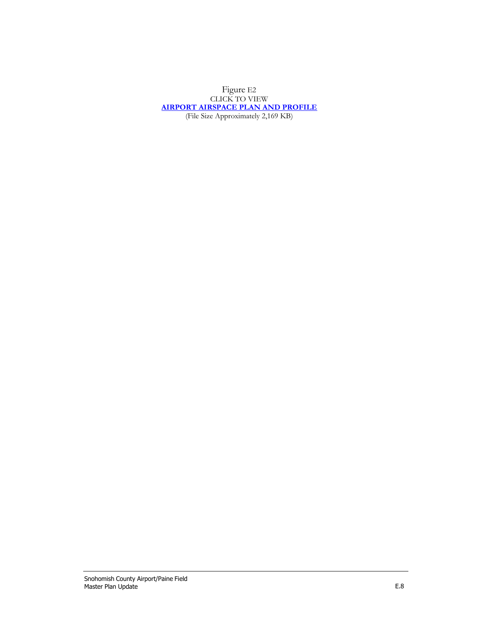#### [Figure](http://www.painefield.com/DocumentCenter/View/468) E2 [CLICK](http://www.painefield.com/DocumentCenter/View/468) TO VIEW **AIRPORT [AIRSPACE PLAN](http://www.painefield.com/DocumentCenter/View/468) AND PROFILE** (File Size [Approximately 2,169](http://www.painefield.com/DocumentCenter/View/468) KB)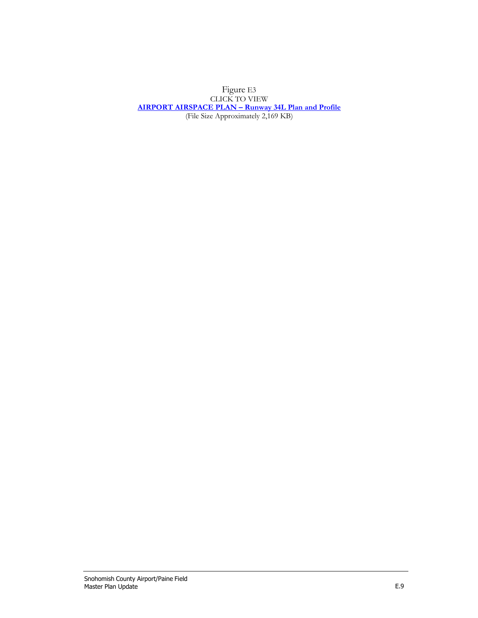#### [Figure](http://www.painefield.com/DocumentCenter/View/469) E3 [CLICK](http://www.painefield.com/DocumentCenter/View/469) TO VIEW **AIRPORT AIRSPACE PLAN – [Runway 34L Plan and Profile](http://www.painefield.com/DocumentCenter/View/469)** (File Size [Approximately 2,169](http://www.painefield.com/DocumentCenter/View/469) KB)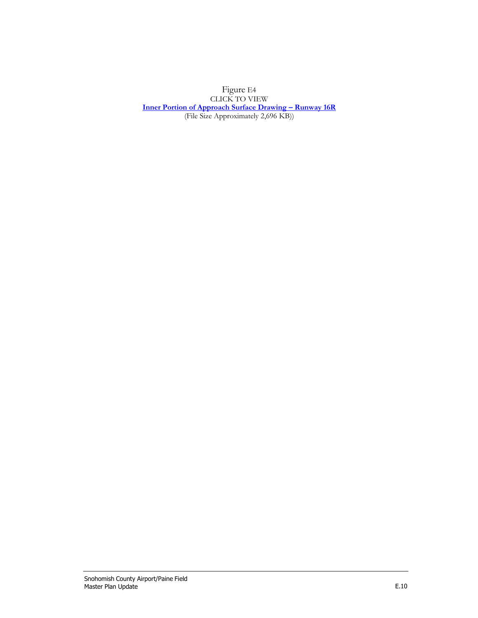[Figure](http://www.painefield.com/DocumentCenter/View/470) E4 [CLICK](http://www.painefield.com/DocumentCenter/View/470) TO VIEW **[Inner Portion of Approach Surface Drawing](http://www.painefield.com/DocumentCenter/View/470) – Runway 16R** (File Size [Approximately 2,696](http://www.painefield.com/DocumentCenter/View/470) KB))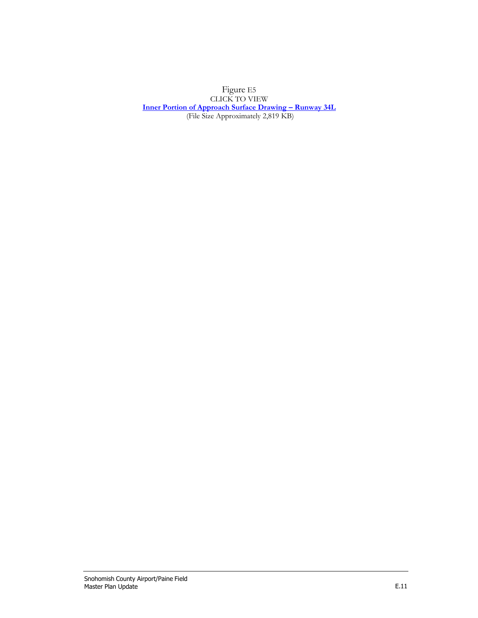[Figure](http://www.painefield.com/DocumentCenter/View/471) E5 [CLICK](http://www.painefield.com/DocumentCenter/View/471) TO VIEW **[Inner Portion of Approach Surface Drawing](http://www.painefield.com/DocumentCenter/View/471) – Runway 34L** (File Size [Approximately 2,819](http://www.painefield.com/DocumentCenter/View/471) KB)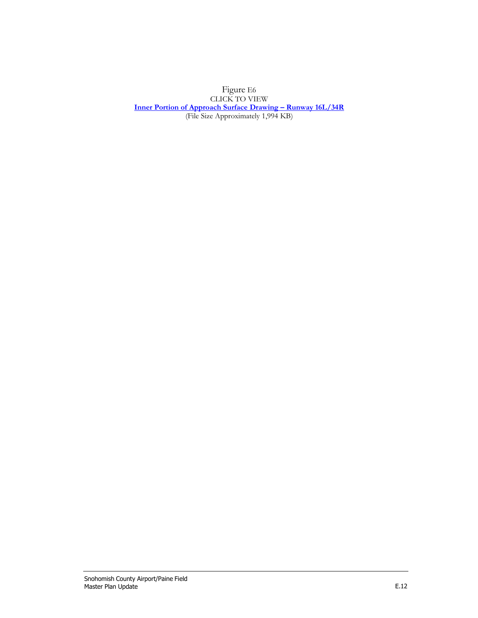[Figure](http://www.painefield.com/DocumentCenter/View/472) E6 [CLICK](http://www.painefield.com/DocumentCenter/View/472) TO VIEW **[Inner Portion of Approach Surface Drawing](http://www.painefield.com/DocumentCenter/View/472) – Runway 16L/34R** (File Size [Approximately 1,994](http://www.painefield.com/DocumentCenter/View/472) KB)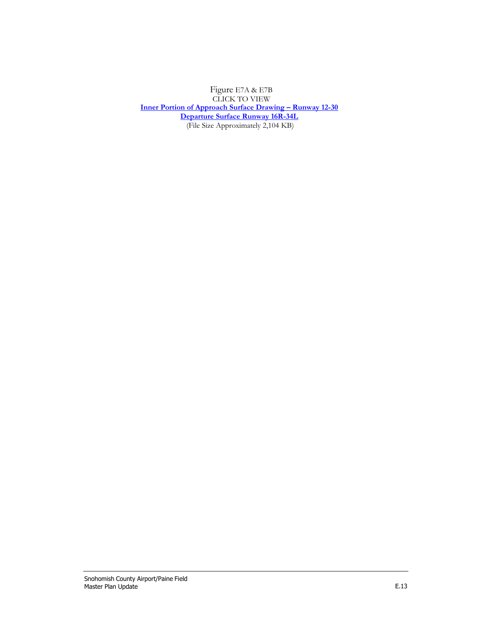[Figure](http://www.painefield.com/DocumentCenter/View/473) E7A & E7B [CLICK](http://www.painefield.com/DocumentCenter/View/473) TO VIEW **[Inner Portion of Approach Surface Drawing](http://painefield.com/DocumentCenter/View/473) – Runway 12-30 [Departure Surface Runway 16R-34L](http://painefield.com/DocumentCenter/View/639)** (File Size [Approximately 2,104](http://www.painefield.com/DocumentCenter/View/473) KB)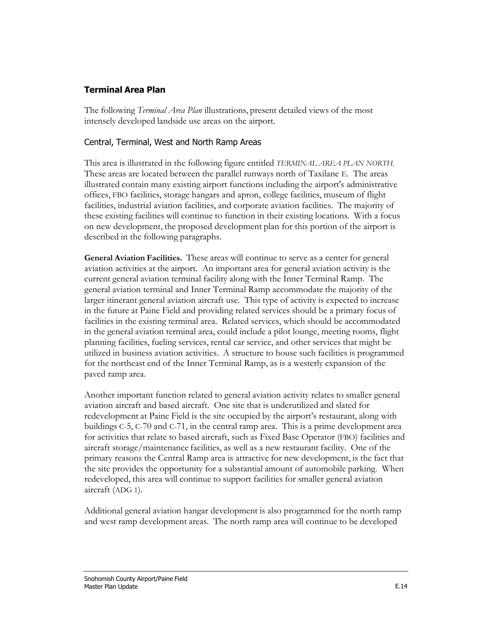# **Terminal Area Plan**

The following *Terminal Area Plan* illustrations, present detailed views of the most intensely developed landside use areas on the airport.

# Central, Terminal, West and North Ramp Areas

This area is illustrated in the following figure entitled *TERMINAL AREA PLAN NORTH.*  These areas are located between the parallel runways north of Taxilane E. The areas illustrated contain many existing airport functions including the airport's administrative offices, FBO facilities, storage hangars and apron, college facilities, museum of flight facilities, industrial aviation facilities, and corporate aviation facilities. The majority of these existing facilities will continue to function in their existing locations. With a focus on new development, the proposed development plan for this portion of the airport is described in the following paragraphs.

**General Aviation Facilities.** These areas will continue to serve as a center for general aviation activities at the airport. An important area for general aviation activity is the current general aviation terminal facility along with the Inner Terminal Ramp. The general aviation terminal and Inner Terminal Ramp accommodate the majority of the larger itinerant general aviation aircraft use. This type of activity is expected to increase in the future at Paine Field and providing related services should be a primary focus of facilities in the existing terminal area. Related services, which should be accommodated in the general aviation terminal area, could include a pilot lounge, meeting rooms, flight planning facilities, fueling services, rental car service, and other services that might be utilized in business aviation activities. A structure to house such facilities is programmed for the northeast end of the Inner Terminal Ramp, as is a westerly expansion of the paved ramp area.

Another important function related to general aviation activity relates to smaller general aviation aircraft and based aircraft. One site that is underutilized and slated for redevelopment at Paine Field is the site occupied by the airport's restaurant, along with buildings C-5, C-70 and C-71, in the central ramp area. This is a prime development area for activities that relate to based aircraft, such as Fixed Base Operator (FBO) facilities and aircraft storage/maintenance facilities, as well as a new restaurant facility. One of the primary reasons the Central Ramp area is attractive for new development, is the fact that the site provides the opportunity for a substantial amount of automobile parking. When redeveloped, this area will continue to support facilities for smaller general aviation aircraft (ADG 1).

Additional general aviation hangar development is also programmed for the north ramp and west ramp development areas. The north ramp area will continue to be developed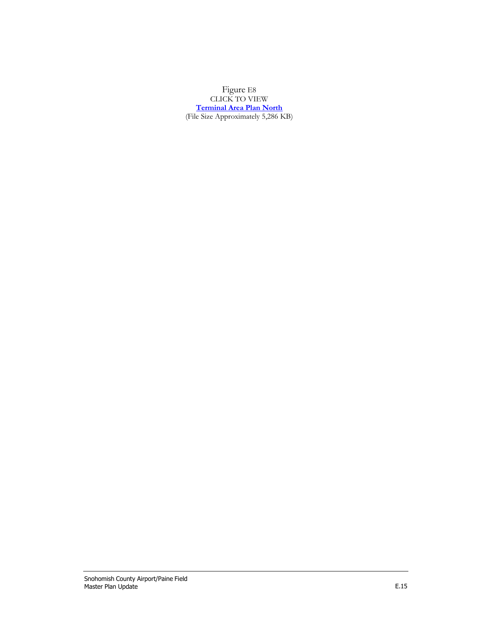[Figure](http://www.painefield.com/DocumentCenter/View/474) E8 [CLICK](http://www.painefield.com/DocumentCenter/View/474) TO VIEW **[Terminal Area Plan North](http://www.painefield.com/DocumentCenter/View/474)** (File Size [Approximately 5,286](http://www.painefield.com/DocumentCenter/View/474) KB)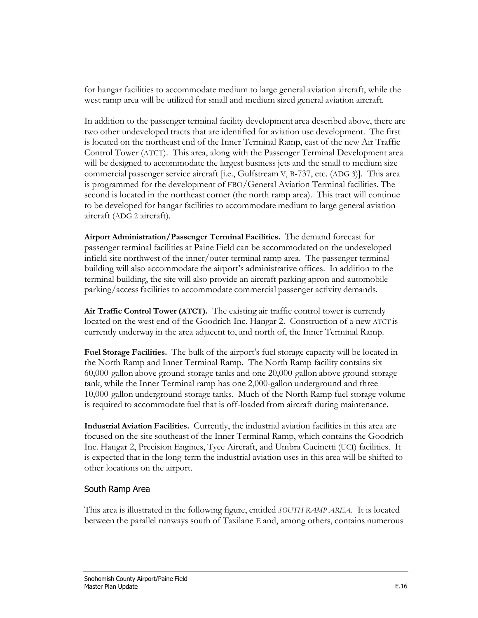for hangar facilities to accommodate medium to large general aviation aircraft, while the west ramp area will be utilized for small and medium sized general aviation aircraft.

In addition to the passenger terminal facility development area described above, there are two other undeveloped tracts that are identified for aviation use development. The first is located on the northeast end of the Inner Terminal Ramp, east of the new Air Traffic Control Tower (ATCT). This area, along with the Passenger Terminal Development area will be designed to accommodate the largest business jets and the small to medium size commercial passenger service aircraft [i.e., Gulfstream V, B-737, etc. (ADG 3)]. This area is programmed for the development of FBO/General Aviation Terminal facilities. The second is located in the northeast corner (the north ramp area). This tract will continue to be developed for hangar facilities to accommodate medium to large general aviation aircraft (ADG 2 aircraft).

**Airport Administration/Passenger Terminal Facilities.** The demand forecast for passenger terminal facilities at Paine Field can be accommodated on the undeveloped infield site northwest of the inner/outer terminal ramp area. The passenger terminal building will also accommodate the airport's administrative offices. In addition to the terminal building, the site will also provide an aircraft parking apron and automobile parking/access facilities to accommodate commercial passenger activity demands.

**Air Traffic Control Tower (ATCT).** The existing air traffic control tower is currently located on the west end of the Goodrich Inc. Hangar 2. Construction of a new ATCT is currently underway in the area adjacent to, and north of, the Inner Terminal Ramp.

**Fuel Storage Facilities.** The bulk of the airport's fuel storage capacity will be located in the North Ramp and Inner Terminal Ramp. The North Ramp facility contains six 60,000-gallon above ground storage tanks and one 20,000-gallon above ground storage tank, while the Inner Terminal ramp has one 2,000-gallon underground and three 10,000-gallon underground storage tanks. Much of the North Ramp fuel storage volume is required to accommodate fuel that is off-loaded from aircraft during maintenance.

**Industrial Aviation Facilities.** Currently, the industrial aviation facilities in this area are focused on the site southeast of the Inner Terminal Ramp, which contains the Goodrich Inc. Hangar 2, Precision Engines, Tyee Aircraft, and Umbra Cucinetti (UCI) facilities. It is expected that in the long-term the industrial aviation uses in this area will be shifted to other locations on the airport.

# South Ramp Area

This area is illustrated in the following figure, entitled *SOUTH RAMP AREA*. It is located between the parallel runways south of Taxilane E and, among others, contains numerous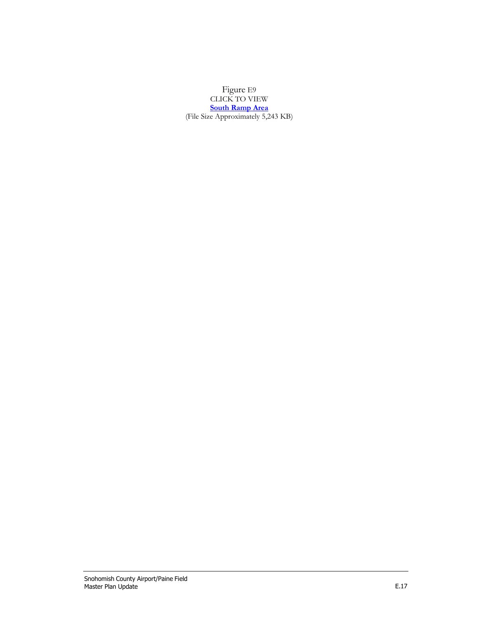[Figure](http://www.painefield.com/DocumentCenter/View/475) E9 [CLICK](http://www.painefield.com/DocumentCenter/View/475) TO VIEW **[South Ramp Area](http://www.painefield.com/DocumentCenter/View/475)** (File Size [Approximately 5,243](http://www.painefield.com/DocumentCenter/View/475) KB)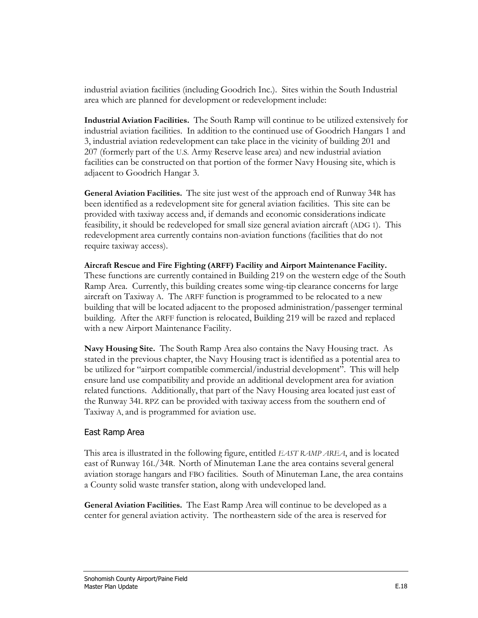industrial aviation facilities (including Goodrich Inc.). Sites within the South Industrial area which are planned for development or redevelopment include:

**Industrial Aviation Facilities.** The South Ramp will continue to be utilized extensively for industrial aviation facilities. In addition to the continued use of Goodrich Hangars 1 and 3, industrial aviation redevelopment can take place in the vicinity of building 201 and 207 (formerly part of the U.S. Army Reserve lease area) and new industrial aviation facilities can be constructed on that portion of the former Navy Housing site, which is adjacent to Goodrich Hangar 3.

**General Aviation Facilities.** The site just west of the approach end of Runway 34R has been identified as a redevelopment site for general aviation facilities. This site can be provided with taxiway access and, if demands and economic considerations indicate feasibility, it should be redeveloped for small size general aviation aircraft (ADG 1). This redevelopment area currently contains non-aviation functions (facilities that do not require taxiway access).

**Aircraft Rescue and Fire Fighting (ARFF) Facility and Airport Maintenance Facility.**  These functions are currently contained in Building 219 on the western edge of the South Ramp Area. Currently, this building creates some wing-tip clearance concerns for large aircraft on Taxiway A. The ARFF function is programmed to be relocated to a new building that will be located adjacent to the proposed administration/passenger terminal building. After the ARFF function is relocated, Building 219 will be razed and replaced with a new Airport Maintenance Facility.

**Navy Housing Site.** The South Ramp Area also contains the Navy Housing tract. As stated in the previous chapter, the Navy Housing tract is identified as a potential area to be utilized for "airport compatible commercial/industrial development". This will help ensure land use compatibility and provide an additional development area for aviation related functions. Additionally, that part of the Navy Housing area located just east of the Runway 34L RPZ can be provided with taxiway access from the southern end of Taxiway A, and is programmed for aviation use.

### East Ramp Area

This area is illustrated in the following figure, entitled *EAST RAMP AREA*, and is located east of Runway 16L/34R. North of Minuteman Lane the area contains several general aviation storage hangars and FBO facilities. South of Minuteman Lane, the area contains a County solid waste transfer station, along with undeveloped land.

**General Aviation Facilities.** The East Ramp Area will continue to be developed as a center for general aviation activity. The northeastern side of the area is reserved for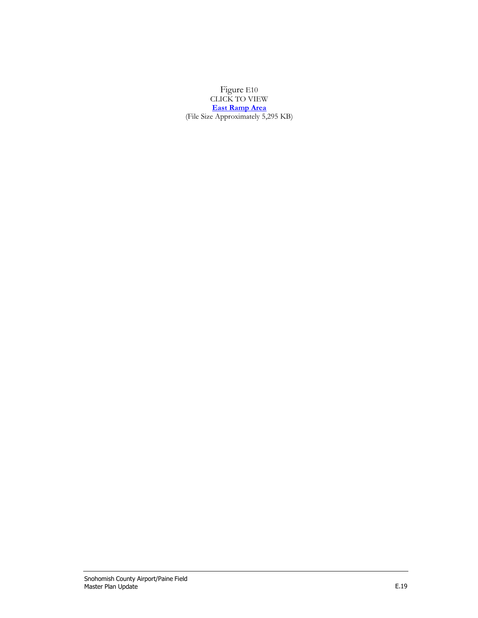[Figure](http://www.painefield.com/DocumentCenter/View/476) E10 [CLICK](http://www.painefield.com/DocumentCenter/View/476) TO VIEW **East [Ramp Area](http://www.painefield.com/DocumentCenter/View/476)** (File Size [Approximately 5,295](http://www.painefield.com/DocumentCenter/View/476) KB)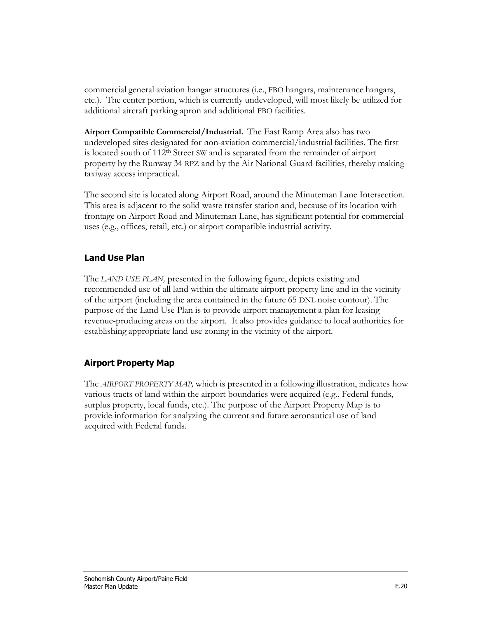commercial general aviation hangar structures (i.e., FBO hangars, maintenance hangars, etc.). The center portion, which is currently undeveloped, will most likely be utilized for additional aircraft parking apron and additional FBO facilities.

**Airport Compatible Commercial/Industrial.** The East Ramp Area also has two undeveloped sites designated for non-aviation commercial/industrial facilities. The first is located south of 112th Street SW and is separated from the remainder of airport property by the Runway 34 RPZ and by the Air National Guard facilities, thereby making taxiway access impractical.

The second site is located along Airport Road, around the Minuteman Lane Intersection. This area is adjacent to the solid waste transfer station and, because of its location with frontage on Airport Road and Minuteman Lane, has significant potential for commercial uses (e.g., offices, retail, etc.) or airport compatible industrial activity.

# **Land Use Plan**

The *LAND USE PLAN,* presented in the following figure, depicts existing and recommended use of all land within the ultimate airport property line and in the vicinity of the airport (including the area contained in the future 65 DNL noise contour). The purpose of the Land Use Plan is to provide airport management a plan for leasing revenue-producing areas on the airport. It also provides guidance to local authorities for establishing appropriate land use zoning in the vicinity of the airport.

# **Airport Property Map**

The *AIRPORT PROPERTY MAP,* which is presented in a following illustration, indicates how various tracts of land within the airport boundaries were acquired (e.g., Federal funds, surplus property, local funds, etc.). The purpose of the Airport Property Map is to provide information for analyzing the current and future aeronautical use of land acquired with Federal funds.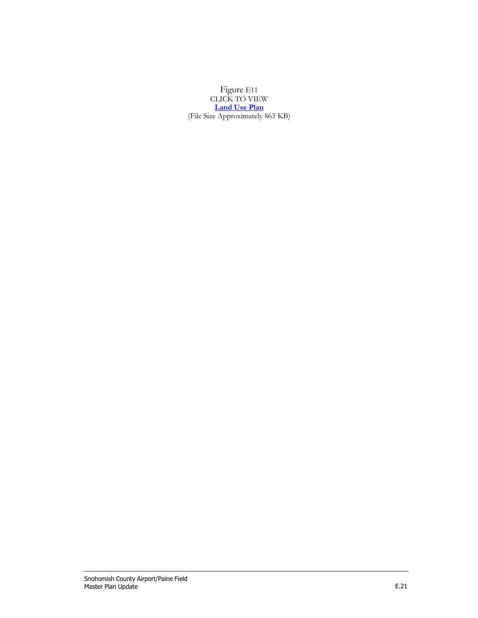[Figure](http://www.painefield.com/DocumentCenter/View/477) E11 [CLICK](http://www.painefield.com/DocumentCenter/View/477) TO VIEW **[Land Use Plan](http://www.painefield.com/DocumentCenter/View/477)** (File Size [Approximately 863](http://www.painefield.com/DocumentCenter/View/477) KB)